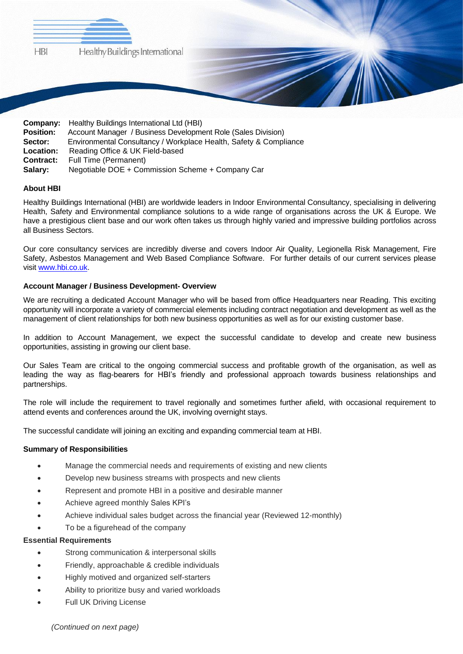

| <b>Company:</b> Healthy Buildings International Ltd (HBI)         |
|-------------------------------------------------------------------|
| Account Manager / Business Development Role (Sales Division)      |
| Environmental Consultancy / Workplace Health, Safety & Compliance |
| Reading Office & UK Field-based                                   |
| Full Time (Permanent)                                             |
| Negotiable DOE + Commission Scheme + Company Car                  |
|                                                                   |

# **About HBI**

Healthy Buildings International (HBI) are worldwide leaders in Indoor Environmental Consultancy, specialising in delivering Health, Safety and Environmental compliance solutions to a wide range of organisations across the UK & Europe. We have a prestigious client base and our work often takes us through highly varied and impressive building portfolios across all Business Sectors.

Our core consultancy services are incredibly diverse and covers Indoor Air Quality, Legionella Risk Management, Fire Safety, Asbestos Management and Web Based Compliance Software. For further details of our current services please visit [www.hbi.co.uk.](http://www.hbi.co.uk/)

#### **Account Manager / Business Development- Overview**

We are recruiting a dedicated Account Manager who will be based from office Headquarters near Reading. This exciting opportunity will incorporate a variety of commercial elements including contract negotiation and development as well as the management of client relationships for both new business opportunities as well as for our existing customer base.

In addition to Account Management, we expect the successful candidate to develop and create new business opportunities, assisting in growing our client base.

Our Sales Team are critical to the ongoing commercial success and profitable growth of the organisation, as well as leading the way as flag-bearers for HBI's friendly and professional approach towards business relationships and partnerships.

The role will include the requirement to travel regionally and sometimes further afield, with occasional requirement to attend events and conferences around the UK, involving overnight stays.

The successful candidate will joining an exciting and expanding commercial team at HBI.

#### **Summary of Responsibilities**

- Manage the commercial needs and requirements of existing and new clients
- Develop new business streams with prospects and new clients
- Represent and promote HBI in a positive and desirable manner
- Achieve agreed monthly Sales KPI's
- Achieve individual sales budget across the financial year (Reviewed 12-monthly)
- To be a figurehead of the company

#### **Essential Requirements**

- Strong communication & interpersonal skills
- Friendly, approachable & credible individuals
- Highly motived and organized self-starters
- Ability to prioritize busy and varied workloads
- Full UK Driving License

*(Continued on next page)*